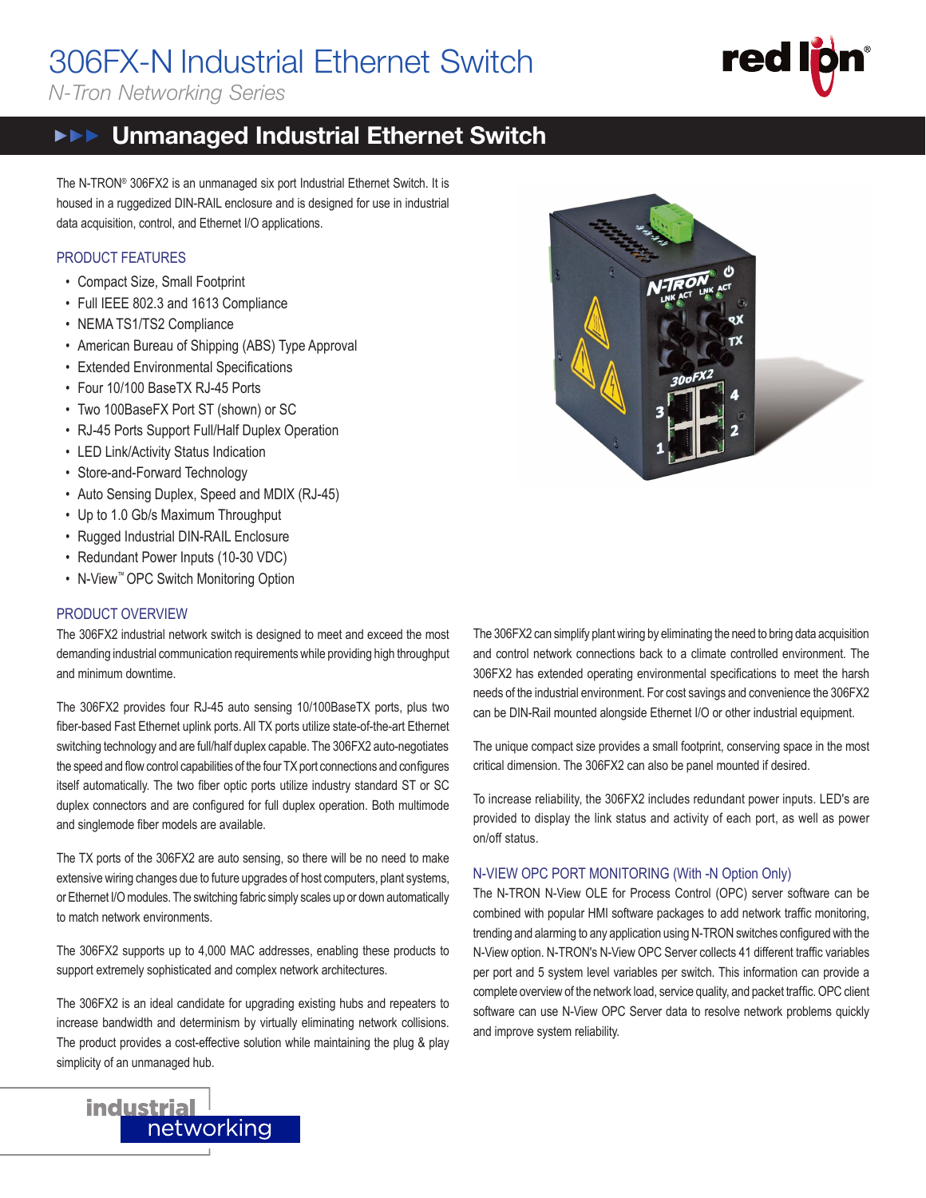# 306FX-N Industrial Ethernet Switch

*N-Tron Networking Series*

# red 306FX2-N

## **FIFE** Unmanaged Industrial Ethernet Switch

The N-TRON® 306FX2 is an unmanaged six port Industrial Ethernet Switch. It is housed in a ruggedized DIN-RAIL enclosure and is designed for use in industrial data acquisition, control, and Ethernet I/O applications.

#### PRODUCT FEATURES

- Compact Size, Small Footprint
- Full IEEE 802.3 and 1613 Compliance
- NEMA TS1/TS2 Compliance
- American Bureau of Shipping (ABS) Type Approval
- Extended Environmental Specifications
- Four 10/100 BaseTX RJ-45 Ports
- Two 100BaseFX Port ST (shown) or SC
- RJ-45 Ports Support Full/Half Duplex Operation
- LED Link/Activity Status Indication
- Store-and-Forward Technology
- Auto Sensing Duplex, Speed and MDIX (RJ-45)
- Up to 1.0 Gb/s Maximum Throughput
- Rugged Industrial DIN-RAIL Enclosure
- Redundant Power Inputs (10-30 VDC)
- N-View™ OPC Switch Monitoring Option

#### PRODUCT OVERVIEW

The 306FX2 industrial network switch is designed to meet and exceed the most demanding industrial communication requirements while providing high throughput and minimum downtime.

The 306FX2 provides four RJ-45 auto sensing 10/100BaseTX ports, plus two ber-based Fast Ethernet uplink ports. All TX ports utilize state-of-the-art Ethernet switching technology and are full/half duplex capable. The 306FX2 auto-negotiates the speed and flow control capabilities of the four TX port connections and configures itself automatically. The two fiber optic ports utilize industry standard ST or SC duplex connectors and are configured for full duplex operation. Both multimode and singlemode fiber models are available.

The TX ports of the 306FX2 are auto sensing, so there will be no need to make extensive wiring changes due to future upgrades of host computers, plant systems, or Ethernet I/O modules. The switching fabric simply scales up or down automatically to match network environments.

The 306FX2 supports up to 4,000 MAC addresses, enabling these products to support extremely sophisticated and complex network architectures.

The 306FX2 is an ideal candidate for upgrading existing hubs and repeaters to increase bandwidth and determinism by virtually eliminating network collisions. The product provides a cost-effective solution while maintaining the plug & play simplicity of an unmanaged hub.



The 306FX2 can simplify plant wiring by eliminating the need to bring data acquisition and control network connections back to a climate controlled environment. The 306FX2 has extended operating environmental specifications to meet the harsh needs of the industrial environment. For cost savings and convenience the 306FX2 can be DIN-Rail mounted alongside Ethernet I/O or other industrial equipment.

The unique compact size provides a small footprint, conserving space in the most critical dimension. The 306FX2 can also be panel mounted if desired.

To increase reliability, the 306FX2 includes redundant power inputs. LED's are provided to display the link status and activity of each port, as well as power on/off status.

#### N-VIEW OPC PORT MONITORING (With -N Option Only)

The N-TRON N-View OLE for Process Control (OPC) server software can be combined with popular HMI software packages to add network traffic monitoring, trending and alarming to any application using N-TRON switches configured with the N-View option. N-TRON's N-View OPC Server collects 41 different traffic variables per port and 5 system level variables per switch. This information can provide a complete overview of the network load, service quality, and packet traffic. OPC client software can use N-View OPC Server data to resolve network problems quickly and improve system reliability.

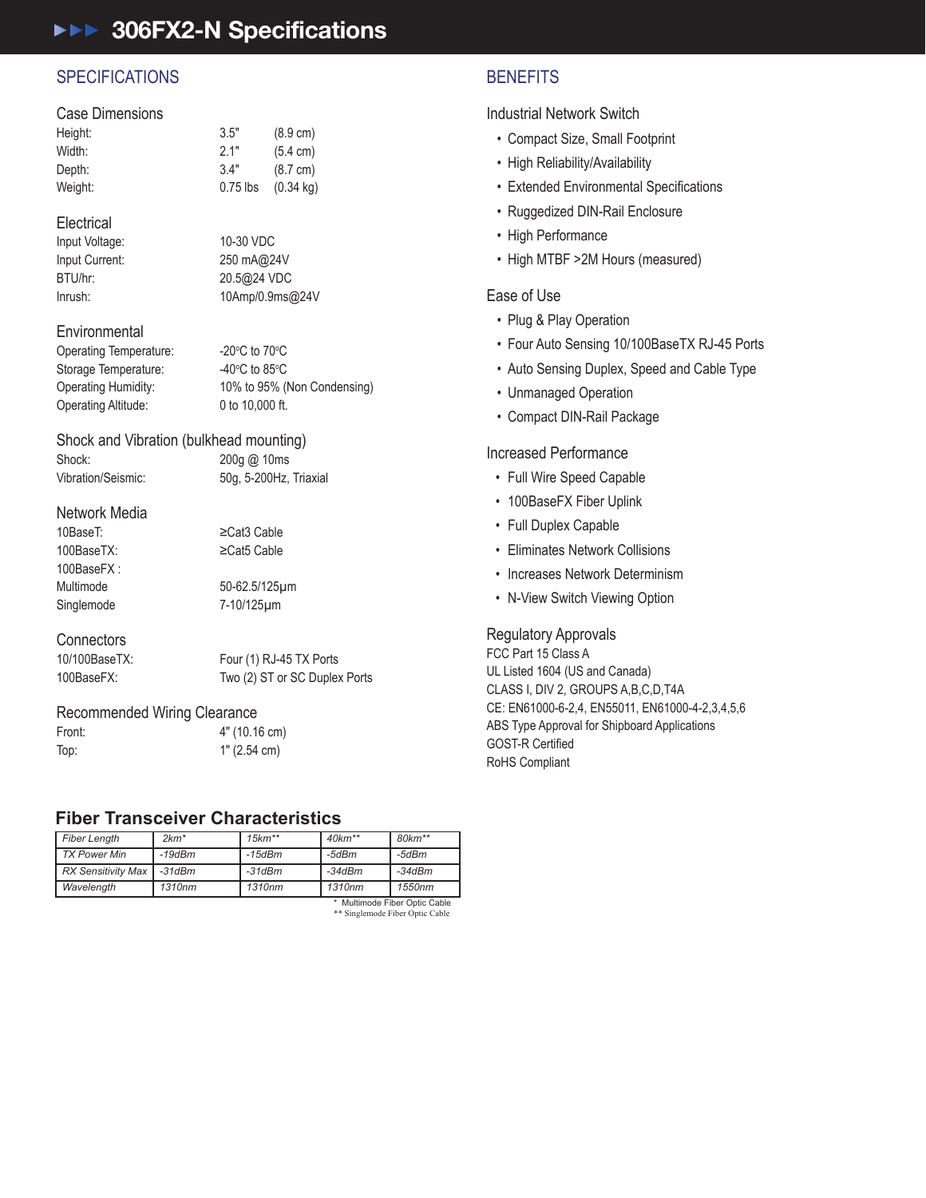### ▶▶▶ 306FX2-N Specifications

#### **SPECIFICATIONS**

#### Case Dimensions

| Height: | 3.5"       | $(8.9 \text{ cm})$  |
|---------|------------|---------------------|
| Width:  | 2.1"       | $(5.4 \text{ cm})$  |
| Depth:  | 3.4"       | $(8.7 \text{ cm})$  |
| Weight: | $0.75$ lbs | $(0.34 \text{ kg})$ |

#### **Electrical**

Input Voltage: 10-30 VDC Input Current: 250 mA@24V BTU/hr: 20.5@24 VDC Inrush: 10Amp/0.9ms@24V

#### **Environmental**

Operating Temperature: C to 70 $\mathrm{^{\circ}C}$ Storage Temperature: C to 85 $\rm ^{o}$ C Operating Humidity: 10% to 95% (Non Condensing) Operating Altitude: 0 to 10,000 ft.

#### Shock and Vibration (bulkhead mounting)

Shock: 200g @ 10ms

Vibration/Seismic: 50g, 5-200Hz, Triaxial

#### Network Media

100BaseFX :

10BaseT: ≥Cat3 Cable 100BaseTX: ≥Cat5 Cable

Multimode 50-62.5/125μm Singlemode 7-10/125μm

#### **Connectors**

10/100BaseTX: Four (1) RJ-45 TX Ports 100BaseFX: Two (2) ST or SC Duplex Ports

#### Recommended Wiring Clearance

Front: 4" (10.16 cm) Top: 1" (2.54 cm)

#### **Fiber Transceiver Characteristics**

| <b>Fiber Length</b>           | $2km*$   | $15km**$ | $40km**$ | 80km**   |
|-------------------------------|----------|----------|----------|----------|
| TX Power Min                  | $-19dBm$ | -15dBm   | -5dBm    | -5dBm    |
| <b>RX Sensitivity Max</b>     | $-31dBm$ | $-31dBm$ | $-34dBm$ | $-34dBm$ |
| Wavelength                    | 1310nm   | 1310nm   | 1310nm   | 1550nm   |
| * Multimode Fiber Optic Cable |          |          |          |          |

\* Multimode Fiber Optic Cable \*\* Singlemode Fiber Optic Cable

#### **BENEFITS**

Industrial Network Switch

- Compact Size, Small Footprint
- High Reliability/Availability
- Extended Environmental Specifications
- Ruggedized DIN-Rail Enclosure
- High Performance
- High MTBF >2M Hours (measured)

#### Ease of Use

- Plug & Play Operation
- Four Auto Sensing 10/100BaseTX RJ-45 Ports
- Auto Sensing Duplex, Speed and Cable Type
- Unmanaged Operation
- Compact DIN-Rail Package

#### Increased Performance

- Full Wire Speed Capable
- 100BaseFX Fiber Uplink
- Full Duplex Capable
- Eliminates Network Collisions
- Increases Network Determinism
- N-View Switch Viewing Option

#### Regulatory Approvals

FCC Part 15 Class A UL Listed 1604 (US and Canada) CLASS I, DIV 2, GROUPS A,B,C,D,T4A CE: EN61000-6-2,4, EN55011, EN61000-4-2,3,4,5,6 ABS Type Approval for Shipboard Applications **GOST-R Certified** RoHS Compliant